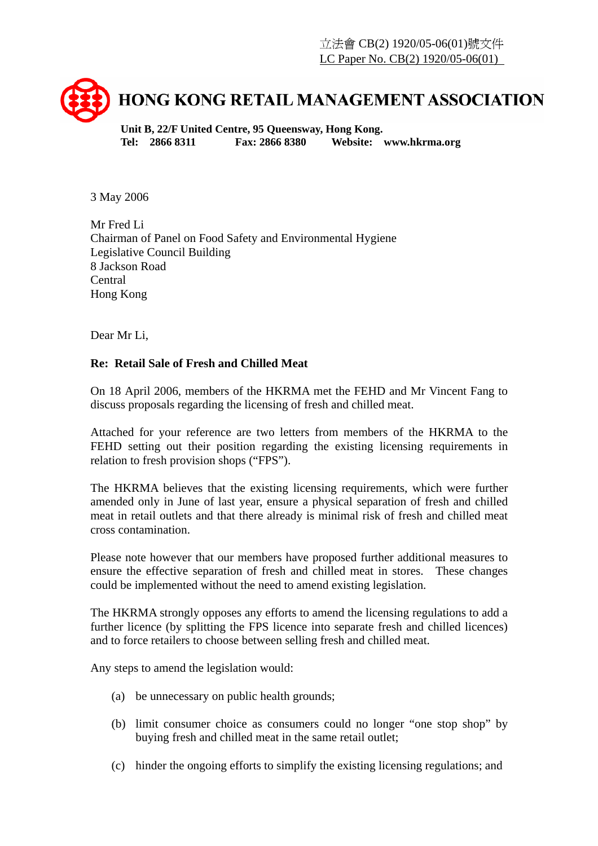

**Unit B, 22/F United Centre, 95 Queensway, Hong Kong. Tel: 2866 8311 Fax: 2866 8380 Website: www.hkrma.org** 

3 May 2006

Mr Fred Li Chairman of Panel on Food Safety and Environmental Hygiene Legislative Council Building 8 Jackson Road Central Hong Kong

Dear Mr Li,

## **Re: Retail Sale of Fresh and Chilled Meat**

On 18 April 2006, members of the HKRMA met the FEHD and Mr Vincent Fang to discuss proposals regarding the licensing of fresh and chilled meat.

Attached for your reference are two letters from members of the HKRMA to the FEHD setting out their position regarding the existing licensing requirements in relation to fresh provision shops ("FPS").

The HKRMA believes that the existing licensing requirements, which were further amended only in June of last year, ensure a physical separation of fresh and chilled meat in retail outlets and that there already is minimal risk of fresh and chilled meat cross contamination.

Please note however that our members have proposed further additional measures to ensure the effective separation of fresh and chilled meat in stores. These changes could be implemented without the need to amend existing legislation.

The HKRMA strongly opposes any efforts to amend the licensing regulations to add a further licence (by splitting the FPS licence into separate fresh and chilled licences) and to force retailers to choose between selling fresh and chilled meat.

Any steps to amend the legislation would:

- (a) be unnecessary on public health grounds;
- (b) limit consumer choice as consumers could no longer "one stop shop" by buying fresh and chilled meat in the same retail outlet;
- (c) hinder the ongoing efforts to simplify the existing licensing regulations; and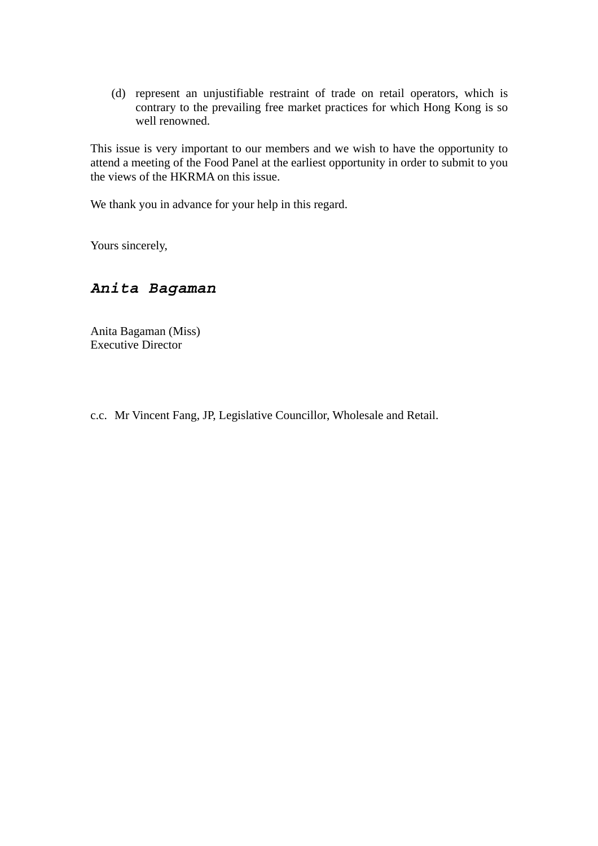(d) represent an unjustifiable restraint of trade on retail operators, which is contrary to the prevailing free market practices for which Hong Kong is so well renowned.

This issue is very important to our members and we wish to have the opportunity to attend a meeting of the Food Panel at the earliest opportunity in order to submit to you the views of the HKRMA on this issue.

We thank you in advance for your help in this regard.

Yours sincerely,

## *Anita Bagaman*

Anita Bagaman (Miss) Executive Director

c.c. Mr Vincent Fang, JP, Legislative Councillor, Wholesale and Retail.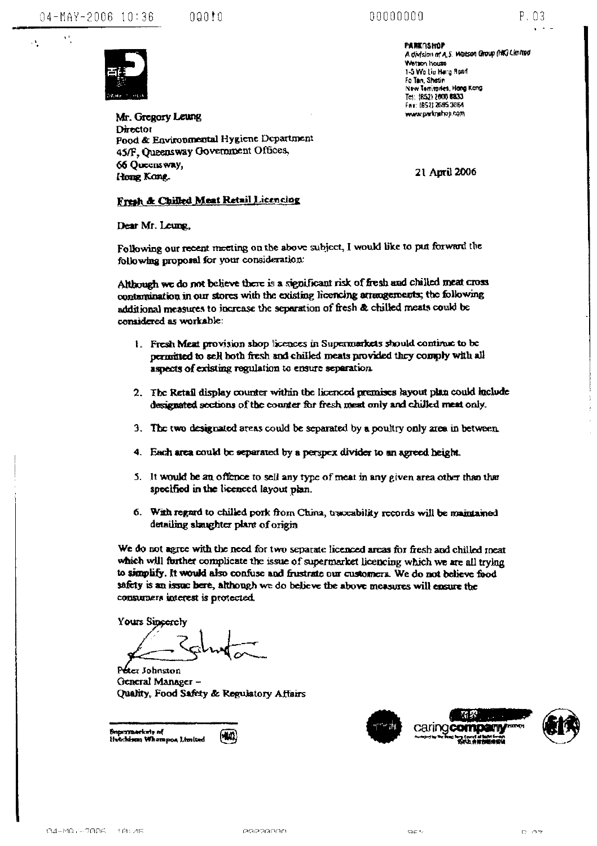$\Lambda^{\pm}$ 

 $\mathbf{v}$ 

 $000!0$ 





Mr. Gregory Leung Director Food & Environmental Hygiene Department 45/F, Queensway Government Offices, 66 Ouccus way, Hong Kong.

**PARK ASHOP** A division of A.S. Watson Group (HK) Limited Wetton house 1-5 Wo Liv Hang Road Fo Tan Shatin New Territories, Hong Kong Te: (852) 2000 8833 Fax: (852) 2595 3864 www.partnehop.com

21 April 2006

## Fresh & Chilled Meat Retail Licencing

Dear Mr. Leung,

Following our recent meeting on the above subject, I would like to put forward the following proposal for your consideration:

Although we do not believe there is a significant risk of fresh and chilled meat cross contamination in our stores with the existing licencing arrangements; the following additional measures to increase the separation of fresh & chilled meats could be considered as workable:

- 1. Fresh Meat provision shop licences in Supermarkets should continue to be permitted to sell both fresh and chilled meats provided they comply with all aspects of existing regulation to ensure separation.
- 2. The Retail display counter within the licenced premises layout plan could laclude designated sections of the counter for fresh ment only and chilled ment only.
- 3. The two designated areas could be separated by a poultry only area in between
- 4. Each area could be separated by a perspex divider to an agreed height.
- 5. It would be an offence to sell any type of meat in any given area other than that specified in the licenced layout plan.
- 6. With regard to chilled pork from China, traccability records will be maintained detailing slaughter plant of origin

We do not agree with the need for two separate licenced areas for fresh and chilled meat which will further complicate the issue of supermarket licencing which we are all trying to simplify. It would also confuse and frustrate our customers. We do not believe food safety is an issue here, although we do believe the above measures will ensure the consumers interest is protected.

Yours Sincerely

Peter Johnston General Manager-Quality, Food Safety & Regulatory Affairs





**Caring company**